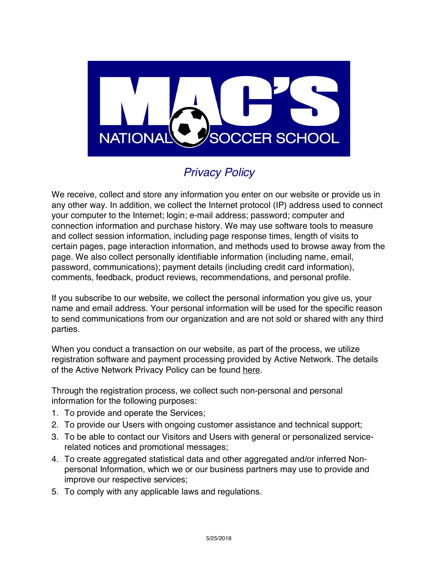

## *Privacy Policy*

We receive, collect and store any information you enter on our website or provide us in any other way. In addition, we collect the Internet protocol (IP) address used to connect your computer to the Internet; login; e-mail address; password; computer and connection information and purchase history. We may use software tools to measure and collect session information, including page response times, length of visits to certain pages, page interaction information, and methods used to browse away from the page. We also collect personally identifiable information (including name, email, password, communications); payment details (including credit card information), comments, feedback, product reviews, recommendations, and personal profile.

If you subscribe to our website, we collect the personal information you give us, your name and email address. Your personal information will be used for the specific reason to send communications from our organization and are not sold or shared with any third parties.

When you conduct a transaction on our website, as part of the process, we utilize registration software and payment processing provided by Active Network. The details of the Active Network Privacy Policy can be found [here.](http://www.activenetwork.com/information/privacy-policy)

Through the registration process, we collect such non-personal and personal information for the following purposes:

- 1. To provide and operate the Services;
- 2. To provide our Users with ongoing customer assistance and technical support;
- 3. To be able to contact our Visitors and Users with general or personalized servicerelated notices and promotional messages;
- 4. To create aggregated statistical data and other aggregated and/or inferred Nonpersonal Information, which we or our business partners may use to provide and improve our respective services;
- 5. To comply with any applicable laws and regulations.